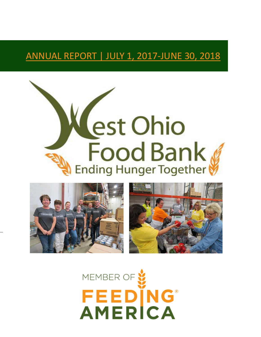## ANNUAL REPORT | JULY 1, 2017-JUNE 30, 2018





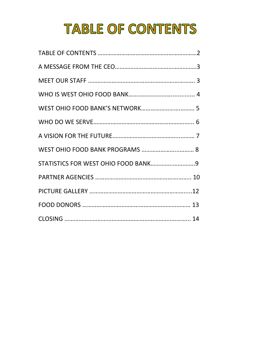# **TABLE OF CONTENTS**

| STATISTICS FOR WEST OHIO FOOD BANK9 |
|-------------------------------------|
|                                     |
|                                     |
|                                     |
|                                     |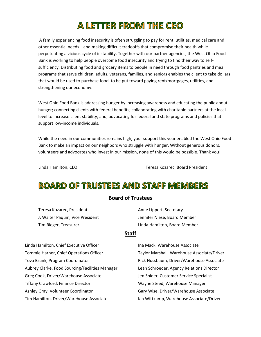## A LETTER FROM THE CEO

A family experiencing food insecurity is often struggling to pay for rent, utilities, medical care and other essential needs—and making difficult tradeoffs that compromise their health while perpetuating a vicious cycle of instability. Together with our partner agencies, the West Ohio Food Bank is working to help people overcome food insecurity and trying to find their way to selfsufficiency. Distributing food and grocery items to people in need through food pantries and meal programs that serve children, adults, veterans, families, and seniors enables the client to take dollars that would be used to purchase food, to be put toward paying rent/mortgages, utilities, and strengthening our economy.

West Ohio Food Bank is addressing hunger by increasing awareness and educating the public about hunger; connecting clients with federal benefits; collaborating with charitable partners at the local level to increase client stability; and, advocating for federal and state programs and policies that support low-income individuals.

While the need in our communities remains high, your support this year enabled the West Ohio Food Bank to make an impact on our neighbors who struggle with hunger. Without generous donors, volunteers and advocates who invest in our mission, none of this would be possible. Thank you!

Linda Hamilton, CEO Teresa Kozarec, Board President

## **BOARD OF TRUSTEES AND STAFF MEMBERS**

### **Board of Trustees**

Teresa Kozarec, President J. Walter Paquin, Vice President Tim Rieger, Treasurer

Anne Lippert, Secretary Jennifer Niese, Board Member Linda Hamilton, Board Member

### **Staff**

Linda Hamilton, Chief Executive Officer Tommie Harner, Chief Operations Officer Tova Brunk, Program Coordinator Aubrey Clarke, Food Sourcing/Facilities Manager Greg Cook, Driver/Warehouse Associate Tiffany Crawford, Finance Director Ashley Gray, Volunteer Coordinator Tim Hamilton, Driver/Warehouse Associate

Ina Mack, Warehouse Associate Taylor Marshall, Warehouse Associate/Driver Rick Nussbaum, Driver/Warehouse Associate Leah Schroeder, Agency Relations Director Jen Snider, Customer Service Specialist Wayne Steed, Warehouse Manager Gary Wise, Driver/Warehouse Associate Ian Wittkamp, Warehouse Associate/Driver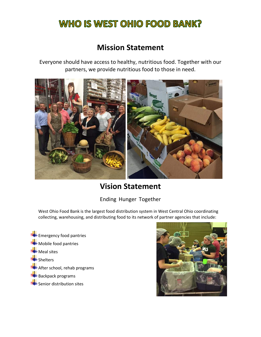## **WHO IS WEST OHIO FOOD BANK?**

## **Mission Statement**

Everyone should have access to healthy, nutritious food. Together with our partners, we provide nutritious food to those in need.



### **Vision Statement**

### Ending Hunger Together

West Ohio Food Bank is the largest food distribution system in West Central Ohio coordinating collecting, warehousing, and distributing food to its network of partner agencies that include:

Emergency food pantries Mobile food pantries Meal sites picture here Shelters After school, rehab programs Backpack programs Senior distribution sites

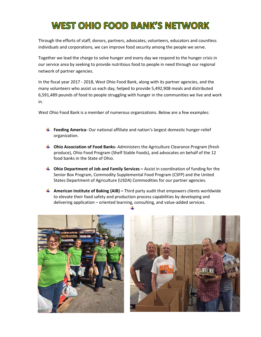## **WEST OHIO FOOD BANK'S NETWORK**

Through the efforts of staff, donors, partners, advocates, volunteers, educators and countless individuals and corporations, we can improve food security among the people we serve.

Together we lead the charge to solve hunger and every day we respond to the hunger crisis in our service area by seeking to provide nutritious food to people in need through our regional network of partner agencies.

In the fiscal year 2017 - 2018, West Ohio Food Bank, along with its partner agencies, and the many volunteers who assist us each day, helped to provide 5,492,908 meals and distributed 6,591,489 pounds of food to people struggling with hunger in the communities we live and work in.

West Ohio Food Bank is a member of numerous organizations. Below are a few examples:

- **Feeding America-** Our national affiliate and nation's largest domestic hunger-relief organization.
- **Ohio Association of Food Banks-** Administers the Agriculture Clearance Program (fresh produce), Ohio Food Program (Shelf Stable Foods), and advocates on behalf of the 12 food banks in the State of Ohio.
- **Ohio Department of Job and Family Services –** Assist in coordination of funding for the Senior Box Program, Commodity Supplemental Food Program (CSFP) and the United States Department of Agriculture (USDA) Commodities for our partner agencies.
- **American Institute of Baking (AIB) –** Third party audit that empowers clients worldwide to elevate their food safety and production process capabilities by developing and delivering application – oriented learning, consulting, and value-added services.



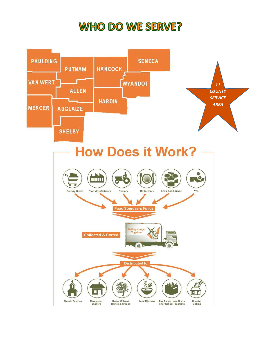## **WHO DO WE SERVE?**

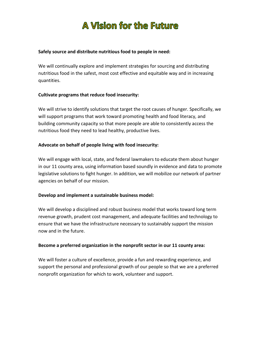## A Vision for the Future

### **Safely source and distribute nutritious food to people in need:**

We will continually explore and implement strategies for sourcing and distributing nutritious food in the safest, most cost effective and equitable way and in increasing quantities.

### **Cultivate programs that reduce food insecurity:**

We will strive to identify solutions that target the root causes of hunger. Specifically, we will support programs that work toward promoting health and food literacy, and building community capacity so that more people are able to consistently access the nutritious food they need to lead healthy, productive lives.

### **Advocate on behalf of people living with food insecurity:**

We will engage with local, state, and federal lawmakers to educate them about hunger in our 11 county area, using information based soundly in evidence and data to promote legislative solutions to fight hunger. In addition, we will mobilize our network of partner agencies on behalf of our mission.

### **Develop and implement a sustainable business model:**

We will develop a disciplined and robust business model that works toward long term revenue growth, prudent cost management, and adequate facilities and technology to ensure that we have the infrastructure necessary to sustainably support the mission now and in the future.

### **Become a preferred organization in the nonprofit sector in our 11 county area:**

We will foster a culture of excellence, provide a fun and rewarding experience, and support the personal and professional growth of our people so that we are a preferred nonprofit organization for which to work, volunteer and support.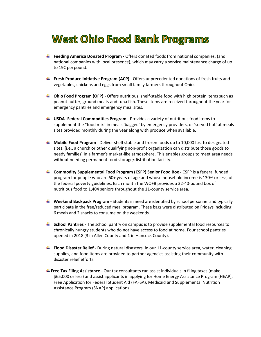## **West Ohio Food Bank Programs**

- **Feeding America Donated Program -** Offers donated foods from national companies, (and national companies with local presence), which may carry a service maintenance charge of up to 19¢ perpound.
- **Fresh Produce Initiative Program (ACP)** Offers unprecedented donations of fresh fruits and vegetables, chickens and eggs from small family farmers throughout Ohio.
- **Ohio Food Program (OFP)**  Offers nutritious, shelf-stable food with high protein items such as peanut butter, ground meats and tuna fish. These items are received throughout the year for emergency pantries and emergency meal sites.
- **USDA- Federal Commodities Program -** Provides a variety of nutritious food items to supplement the "food mix" in meals 'bagged' by emergency providers, or 'served hot' at meals sites provided monthly during the year along with produce when available.
- **Mobile Food Program** Deliver shelf stable and frozen foods up to 10,000 lbs. to designated sites, [i.e., a church or other qualifying non-profit organization can distribute those goods to needy families] in a farmer's market-like atmosphere. This enables groups to meet area needs without needing permanent food storage/distribution facility.
- **Commodity Supplemental Food Program (CSFP) Senior Food Box -** CSFP is a federal funded program for people who are 60+ years of age and whose household income is 130% or less, of the federal poverty guidelines. Each month the WOFB provides a 32-40-pound box of nutritious food to 1,404 seniors throughout the 11-county service area.
- **Weekend Backpack Program -** Students in need are identified by school personnel and typically participate in the free/reduced meal program. These bags were distributed on Fridays including 6 meals and 2 snacks to consume on the weekends.
- **School Pantries** The school pantry on campus is to provide supplemental food resources to chronically hungry students who do not have access to food at home. Four school pantries opened in 2018 (3 in Allen County and 1 in Hancock County).
- **Flood Disaster Relief** During natural disasters, in our 11-county service area, water, cleaning supplies, and food items are provided to partner agencies assisting their community with disaster relief efforts.
- **Free Tax Filing Assistance -** Our tax consultants can assist individuals in filing taxes (make \$65,000 or less) and assist applicants in applying for Home Energy Assistance Program (HEAP), Free Application for Federal Student Aid (FAFSA), Medicaid and Supplemental Nutrition Assistance Program (SNAP) applications.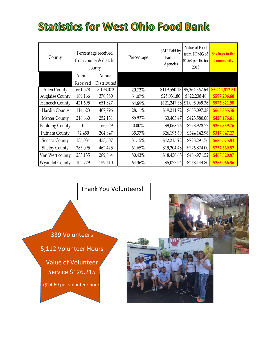## **Statistics for West Ohio Food Bank**

| County                 | Percentage received<br>from county & dist. In<br>county |             | Percentage | SMF Paid by<br>Partner<br>Agencies | Value of Food<br>from KPMG of<br>$$1.68$ per lb. for<br>2018 | <b>Savings to the</b><br>Community |
|------------------------|---------------------------------------------------------|-------------|------------|------------------------------------|--------------------------------------------------------------|------------------------------------|
|                        | Annual                                                  | Annual      |            |                                    |                                                              |                                    |
|                        | Received                                                | Distributed |            |                                    |                                                              |                                    |
| Allen County           | 661,528                                                 | 3,193,073   | 20.72%     | \$119,550.13                       | \$5,364,362.64                                               | \$5,244,812.51                     |
| <b>Auglaize County</b> | 189,166                                                 | 370,380     | 51.07%     | \$25,031.80                        | \$622,238.40                                                 | \$597,206.60                       |
| Hancock County         | 421,695                                                 | 651,827     | 64.69%     | \$121,247.38                       | \$1,095,069.36                                               | \$973,821.98                       |
| Hardin County          | 114,623                                                 | 407,796     | 28.11%     | \$19,211.72                        | \$685,097.28                                                 | \$665,885.56                       |
| Mercer County          | 216,660                                                 | 252,131     | 85.93%     | \$3,403.47                         | \$423,580.08                                                 | \$420,176.61                       |
| Paulding County        | $\theta$                                                | 166,029     | $0.00\%$   | \$9,068.96                         | \$278,928.72                                                 | \$269,859.76                       |
| Putnam County          | 72,450                                                  | 204,847     | 35.37%     | \$26,195.69                        | \$344,142.96                                                 | \$317,947.27                       |
| Seneca County          | 135,034                                                 | 433,507     | 31.15%     | \$42,215.92                        | \$728,291.76                                                 | \$686,075.84                       |
| Shelby County          | 285,095                                                 | 462,425     | 61.65%     | \$19,204.48                        | \$776,874.00                                                 | \$757,669.52                       |
| Van Wert county        | 233,135                                                 | 289,864     | 80.43%     | \$18,450.65                        | \$486,971.52                                                 | \$468,520.87                       |
| Wyandot County         | 102,729                                                 | 159,610     | 64.36%     | \$5,077.94                         | \$268,144.80                                                 | \$263,066.86                       |

Thank You Volunteers!

339 Volunteers

5,112 Volunteer Hours

Value of Volunteer Service \$126,215

(\$24.69 per volunteer hour)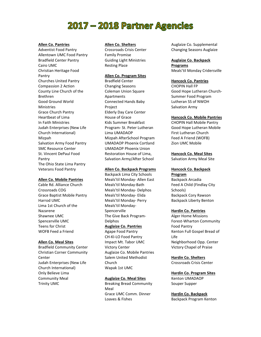## 2017 – 2018 Partner Agencies

#### **Allen Co. Pantries**

Adventist Food Pantry Allentown UMC Food Pantry Bradfield Center Pantry Cairo UMC Christian Heritage Food Pantry Churches United Pantry Compassion 2 Action County Line Church of the Brethren Good Ground World Ministries Grace Church Pantry Heartbeat of Lima In Faith Ministries Judah Enterprises (New Life Church International) Mizpah Salvation Army Food Pantry SMC Resource Center St. Vincent DePaul Food Pantry The Ohio State Lima Pantry Veterans Food Pantry

#### **Allen Co. Mobile Pantries**

Cable Rd. Alliance Church Crossroads COG Grace Baptist Mobile Pantry Harrod UMC Lima 1st Church of the Nazarene Shawnee UMC Spencerville UMC Teens for Christ WOFB Feed a Friend

#### **Allen Co. Meal Sites**

Bradfield Community Center Christian Corner Community Center Judah Enterprises (New Life Church International) Only Believe Lima Community Meal Trinity UMC

#### **Allen Co. Shelters**

Crossroads Crisis Center Family Promise Guiding Light Ministries Resting Place

#### **Allen Co. Program Sites**

Bradfield Center Changing Seasons Coleman Union Square Apartments Connected Hands Baby Project Elderly Day Care Center House of Grace Kids Summer Breakfast Program- St. Peter Lutheran Lima UMADAOP Mizpah AfterSchool Program UMADAOP Phoenix Cortland UMADAOP Phoenix Union Restoration House of Lima, Salvation Army/After School

#### **Allen Co. Backpack Programs**

Backpack Lima City Schools Meals'til Monday- Allen East Meals'til Monday-Bath Meals'til Monday- Delphos Meals'til Monday- Elida Meals'til Monday- Perry Meals'til Monday-Spencerville The Give Back Program-Delphos

#### **Auglaize Co. Pantries**

Agape Food Pantry CH-KI-LO Food Pantry Impact Mt. Tabor UMC Victory Center Auglaize Co. Mobile Pantries Salem United Methodist Church Wapak 1st UMC

#### **Auglaize Co. Meal Sites**

Breaking Bread Community Meal Grace UMC Comm. Dinner Loaves & Fishes

Auglaize Co. Supplemental Changing Seasons Auglaize

#### **Auglaize Co. Backpack Programs**

Meals'til Monday Cridersville

#### **Hancock Co. Pantries**

CHOPIN Hall FP Good Hope Lutheran Church-Summer Food Program Lutheran SS of NWOH Salvation Army

#### **Hancock Co. Mobile Pantries**

CHOPIN Hall Mobile Pantry Good Hope Lutheran Mobile First Lutheran Church Feed A Friend (WOFB) Zion UMC Mobile

#### **Hancock Co. Meal Sites**

Salvation Army Meal Site

#### **Hancock Co. Backpack**

**Program** Backpack Arcadia Feed A Child (Findlay City Schools) Backpack Cory Rawson Backpack Liberty Benton

#### **Hardin Co. Pantries**

Alger Home Missions Forest-Wharton Community Food Pantry Kenton Full Gospel Bread of Life Neighborhood Opp. Center Victory Chapel of Praise

#### **Hardin Co. Shelters**

Crossroads Crisis Center

#### **Hardin Co. Program Sites**

Kenton UMADAOP Souper Supper

#### **Hardin Co. Backpack**

Backpack Program Kenton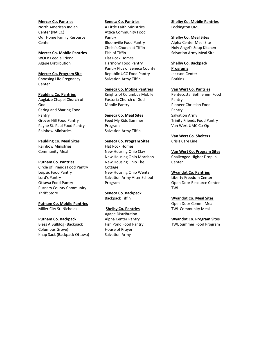#### **Mercer Co. Pantries**

North American Indian Center (NAICC) Our Home Family Resource Center

**Mercer Co. Mobile Pantries** WOFB Feed a Friend Agape Distribution

#### **Mercer Co. Program Site**

Choosing Life Pregnancy Center

#### **Paulding Co. Pantries**

Auglaize Chapel Church of God Caring and Sharing Food Pantry Grover Hill Food Pantry Payne St. Paul Food Pantry Rainbow Ministries

#### **Paulding Co. Meal Sites**

Rainbow Ministries Community Meal

#### **Putnam Co. Pantries**

Circle of Friends Food Pantry Leipsic Food Pantry Lord's Pantry Ottawa Food Pantry Putnam County Community Thrift Store

**Putnam Co. Mobile Pantries** Miller City St. Nicholas

#### **Putnam Co. Backpack**

Bless A Bulldog (Backpack Columbus Grove) Knap Sack (Backpack Ottawa)

#### **Seneca Co. Pantries**

A Little Faith Ministries Attica Community Food Pantry Bloomville Food Pantry Christ's Church at Tiffin Fish of Tiffin Flat Rock Homes Harmony Food Pantry Pantry Plus of Seneca County Republic UCC Food Pantry Salvation Army Tiffin

#### **Seneca Co. Mobile Pantries**

Knights of Columbus Mobile Fostoria Church of God Mobile Pantry

#### **Seneca Co. Meal Sites**

Feed My Kids Summer Program Salvation Army Tiffin

#### **Seneca Co. Program Sites**

Flat Rock Homes New Housing Ohio Clay New Housing Ohio Morrison New Housing Ohio The Cottage New Housing Ohio Wentz Salvation Army After School Program

### **Seneca Co. Backpack**

Backpack Tiffin

### **Shelby Co. Pantries**

Agape Distribution Alpha Center Pantry Fish Pond Food Pantry House of Prayer Salvation Army

**Shelby Co. Mobile Pantries** Lockington UMC

#### **Shelby Co. Meal Sites**

Alpha Center Meal Site Holy Angel's Soup Kitchen Salvation Army Meal Site

#### **Shelby Co. Backpack**

**Programs** Jackson Center Botkins

#### **Van Wert Co. Pantries**

Pentecostal Bethlehem Food Pantry Pioneer Christian Food Pantry Salvation Army Trinity Friends Food Pantry Van Wert UMC Co-Op

**Van Wert Co. Shelters**

Crisis Care Line

**Van Wert Co. Program Sites**

Challenged Higher Drop in **Center** 

#### **Wyandot Co. Pantries**

Liberty Freedom Center Open Door Resource Center TWL

#### **Wyandot Co. Meal Sites**

Open Door Comm. Meal TWL Community Meal

**Wyandot Co. Program Sites** TWL Summer Food Program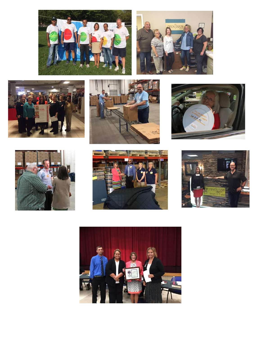















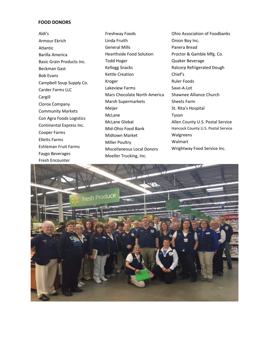### **FOOD DONORS**

Aldi's Armour Ekrich Atlantic Barilla America Basic Grain Products Inc. Beckman Gast Bob Evans Campbell Soup Supply Co. Carder Farms LLC Cargill Clorox Company Community Markets Con Agra Foods Logistics Continental Express Inc. Cooper Farms Elletts Farms Eshleman Fruit Farms Faygo Beverages Fresh Encounter

Freshway Foods Linda Fruith General Mills Hearthside Food Solution Todd Hoger Kellogg Snacks Kettle Creation Kroger Lakeview Farms Mars Chocolate North America Marsh Supermarkets Meijer McLane McLane Global Mid-Ohio Food Bank Midtown Market Miller Poultry Miscellaneous Local Donors Moeller Trucking, Inc.

Ohio Association of Foodbanks Onion Boy Inc. Panera Bread Proctor & Gamble Mfg. Co. Quaker Beverage Ralcorp Refrigerated Dough Chief's Ruler Foods Save-A-Lot Shawnee Alliance Church Sheets Farm St. Rita's Hospital Tyson Allen County U.S. Postal Service Hancock County U.S. Postal Service Walgreens Walmart Wrightway Food Service Inc.